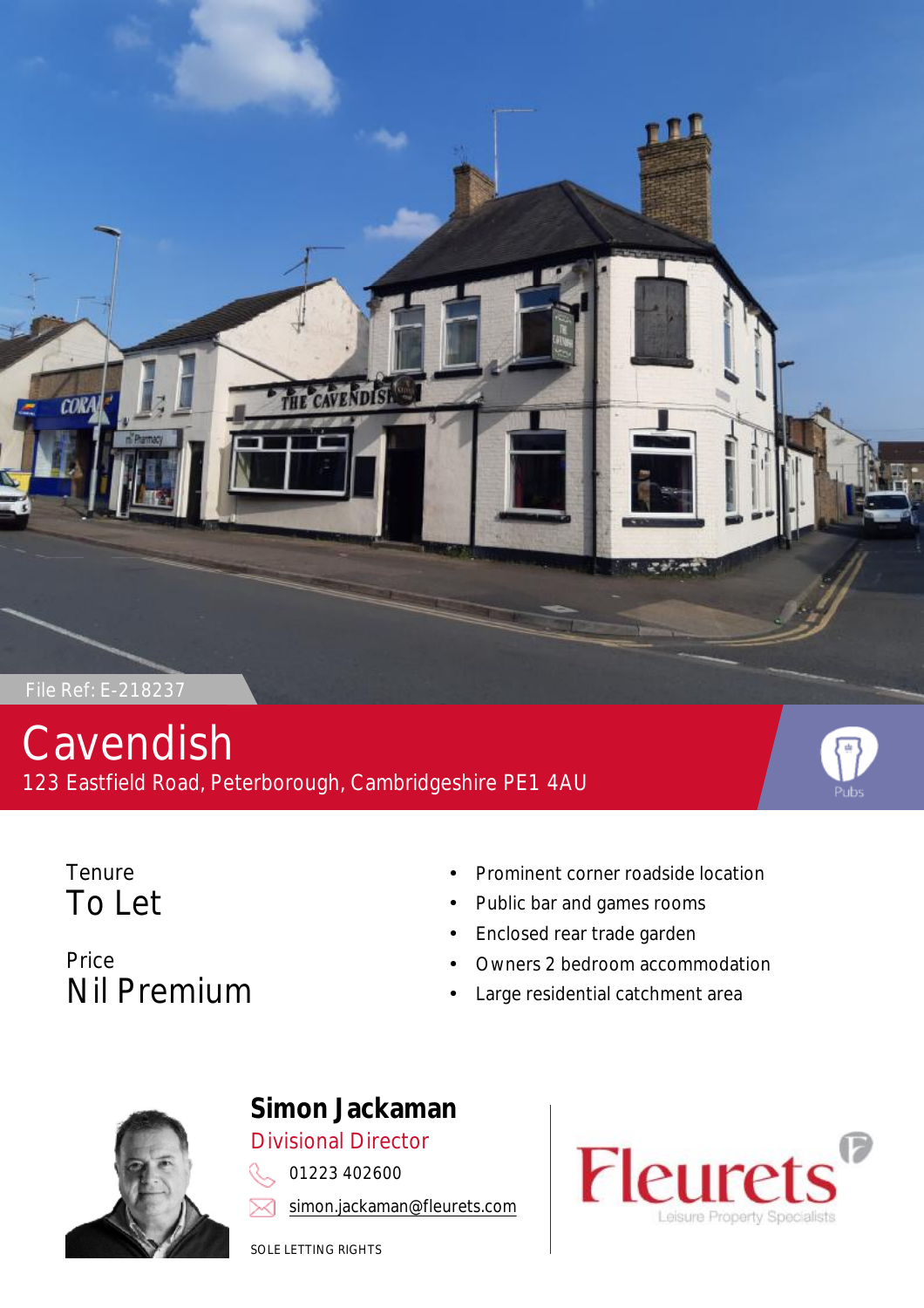

# Cavendish 123 Eastfield Road, Peterborough, Cambridgeshire PE1 4AU



**Tenure** To Let

- Prominent corner roadside location
- Public bar and games rooms
- Enclosed rear trade garden
- Owners 2 bedroom accommodation
- Large residential catchment area





# **Simon Jackaman** Divisional Director

01223 402600

[simon.jackaman@fleurets.com](mailto:simon.jackaman@fleurets.com)

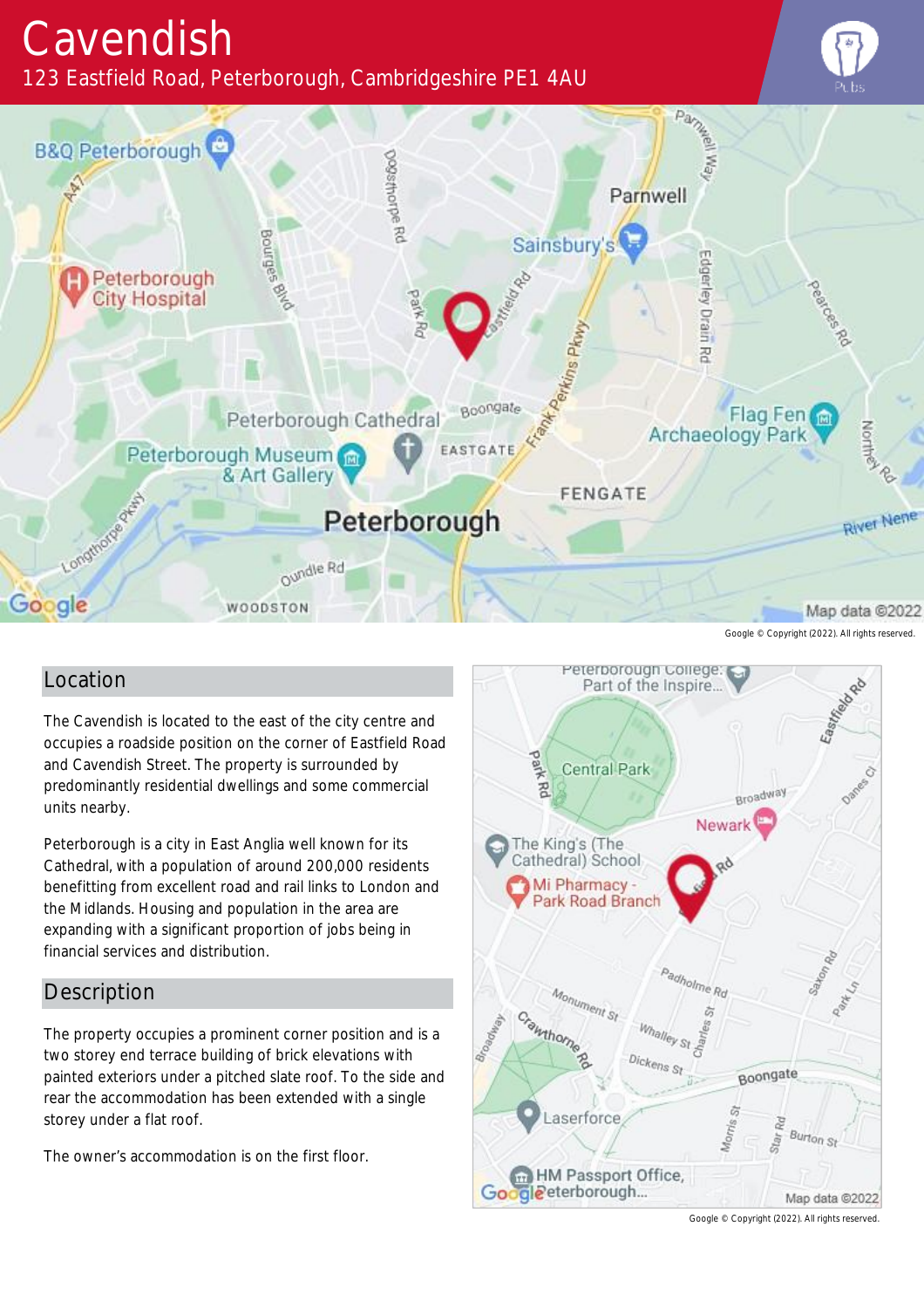# Cavendish

123 Eastfield Road, Peterborough, Cambridgeshire PE1 4AU





Google © Copyright (2022). All rights reserved.

### Location

The Cavendish is located to the east of the city centre and occupies a roadside position on the corner of Eastfield Road and Cavendish Street. The property is surrounded by predominantly residential dwellings and some commercial units nearby.

Peterborough is a city in East Anglia well known for its Cathedral, with a population of around 200,000 residents benefitting from excellent road and rail links to London and the Midlands. Housing and population in the area are expanding with a significant proportion of jobs being in financial services and distribution.

### **Description**

The property occupies a prominent corner position and is a two storey end terrace building of brick elevations with painted exteriors under a pitched slate roof. To the side and rear the accommodation has been extended with a single storey under a flat roof.

The owner's accommodation is on the first floor.



Google © Copyright (2022). All rights reserved.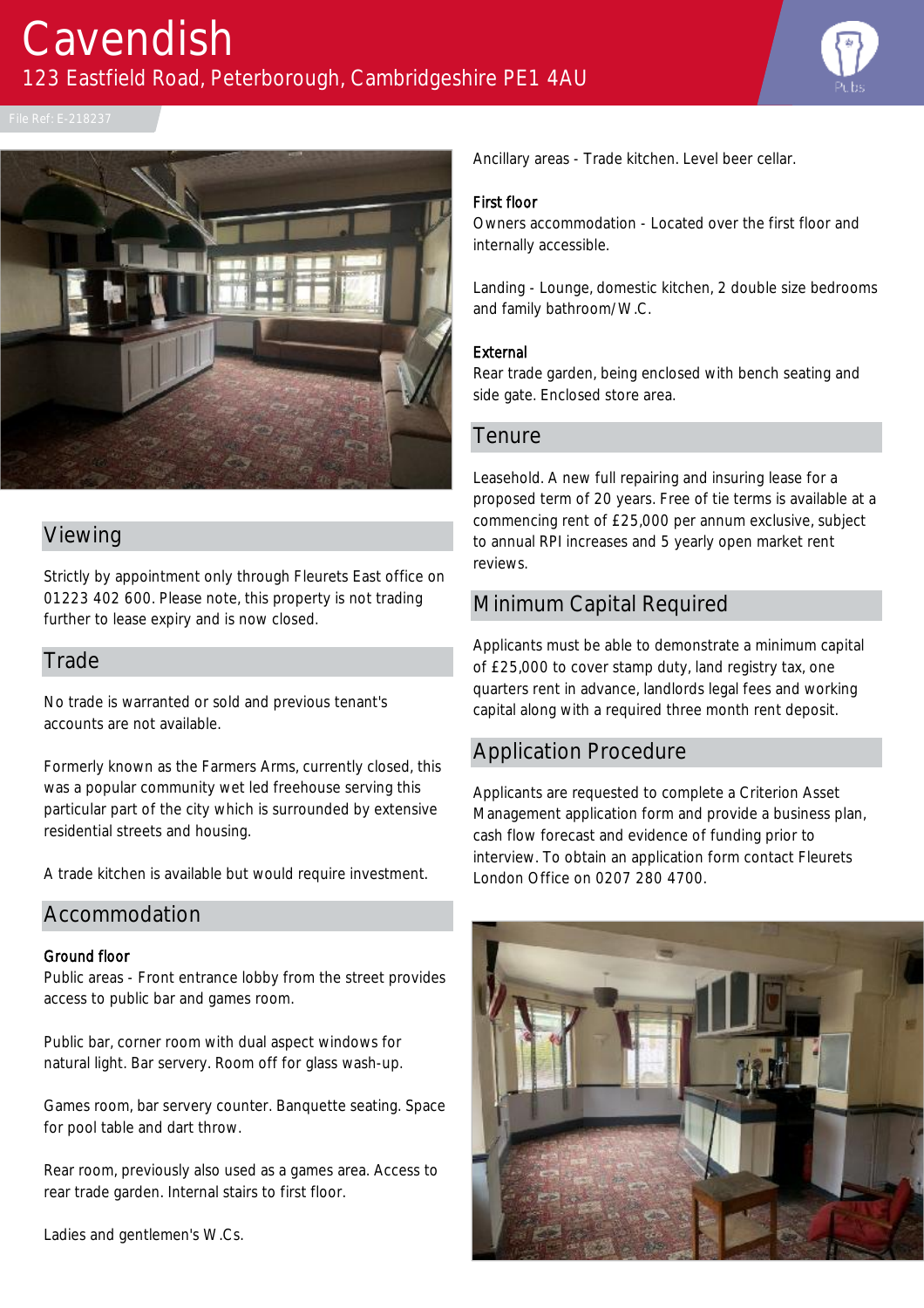



#### Viewing

Strictly by appointment only through Fleurets East office on 01223 402 600. Please note, this property is not trading further to lease expiry and is now closed.

#### **Trade**

No trade is warranted or sold and previous tenant's accounts are not available.

Formerly known as the Farmers Arms, currently closed, this was a popular community wet led freehouse serving this particular part of the city which is surrounded by extensive residential streets and housing.

A trade kitchen is available but would require investment.

#### Accommodation

#### Ground floor

Public areas - Front entrance lobby from the street provides access to public bar and games room.

Public bar, corner room with dual aspect windows for natural light. Bar servery. Room off for glass wash-up.

Games room, bar servery counter. Banquette seating. Space for pool table and dart throw.

Rear room, previously also used as a games area. Access to rear trade garden. Internal stairs to first floor.

Ladies and gentlemen's W.Cs.

Ancillary areas - Trade kitchen. Level beer cellar.

#### First floor

Owners accommodation - Located over the first floor and internally accessible.

Landing - Lounge, domestic kitchen, 2 double size bedrooms and family bathroom/W.C.

#### External

Rear trade garden, being enclosed with bench seating and side gate. Enclosed store area.

#### **Tenure**

Leasehold. A new full repairing and insuring lease for a proposed term of 20 years. Free of tie terms is available at a commencing rent of £25,000 per annum exclusive, subject to annual RPI increases and 5 yearly open market rent reviews.

#### Minimum Capital Required

Applicants must be able to demonstrate a minimum capital of £25,000 to cover stamp duty, land registry tax, one quarters rent in advance, landlords legal fees and working capital along with a required three month rent deposit.

#### Application Procedure

Applicants are requested to complete a Criterion Asset Management application form and provide a business plan, cash flow forecast and evidence of funding prior to interview. To obtain an application form contact Fleurets London Office on 0207 280 4700.

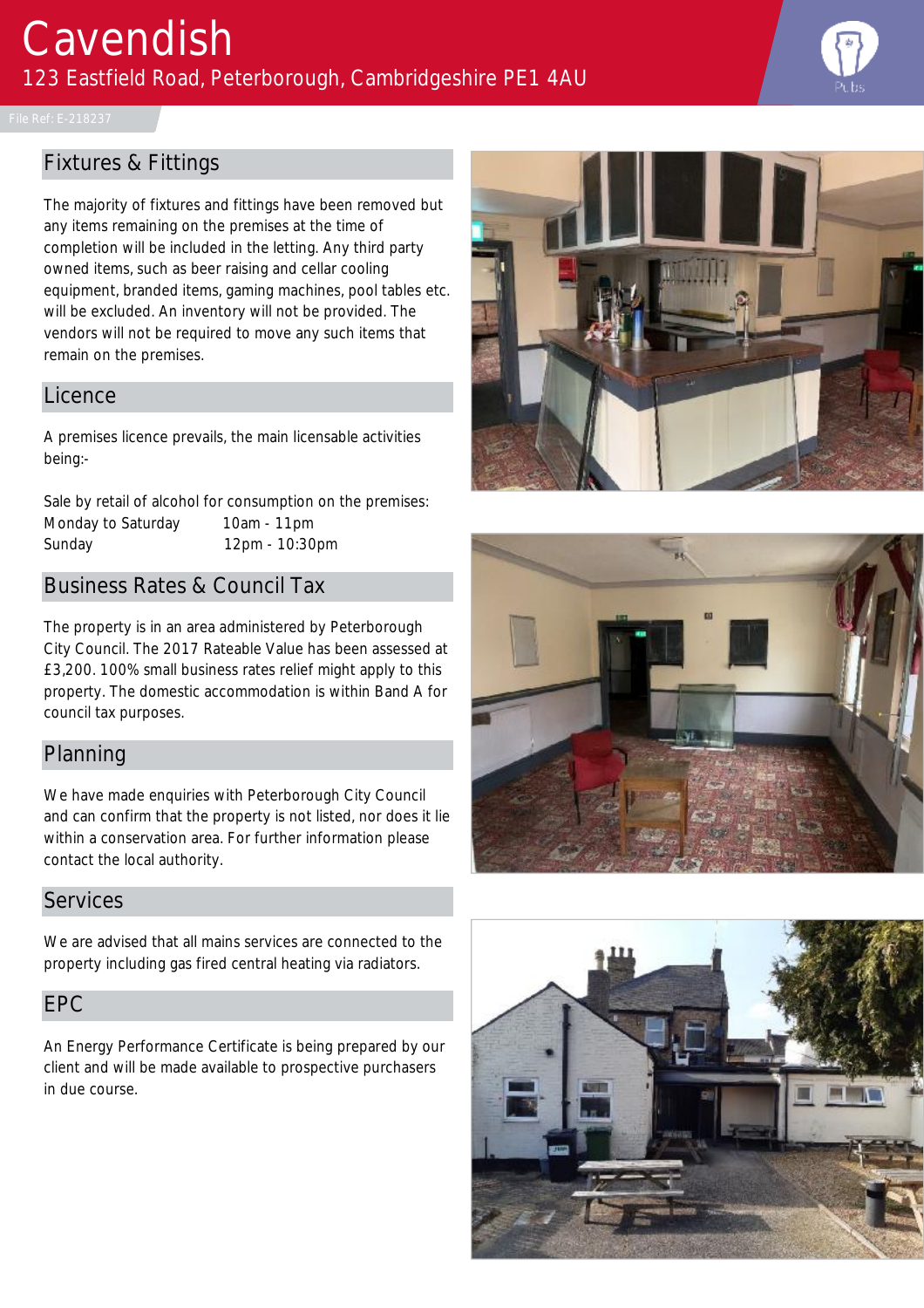

# Fixtures & Fittings

The majority of fixtures and fittings have been removed but any items remaining on the premises at the time of completion will be included in the letting. Any third party owned items, such as beer raising and cellar cooling equipment, branded items, gaming machines, pool tables etc. will be excluded. An inventory will not be provided. The vendors will not be required to move any such items that remain on the premises.

#### Licence

A premises licence prevails, the main licensable activities being:-

Sale by retail of alcohol for consumption on the premises: Monday to Saturday 10am - 11pm Sunday 12pm - 10:30pm

## Business Rates & Council Tax

The property is in an area administered by Peterborough City Council. The 2017 Rateable Value has been assessed at £3,200. 100% small business rates relief might apply to this property. The domestic accommodation is within Band A for council tax purposes.

### Planning

We have made enquiries with Peterborough City Council and can confirm that the property is not listed, nor does it lie within a conservation area. For further information please contact the local authority.

#### **Services**

We are advised that all mains services are connected to the property including gas fired central heating via radiators.

#### EPC

An Energy Performance Certificate is being prepared by our client and will be made available to prospective purchasers in due course.





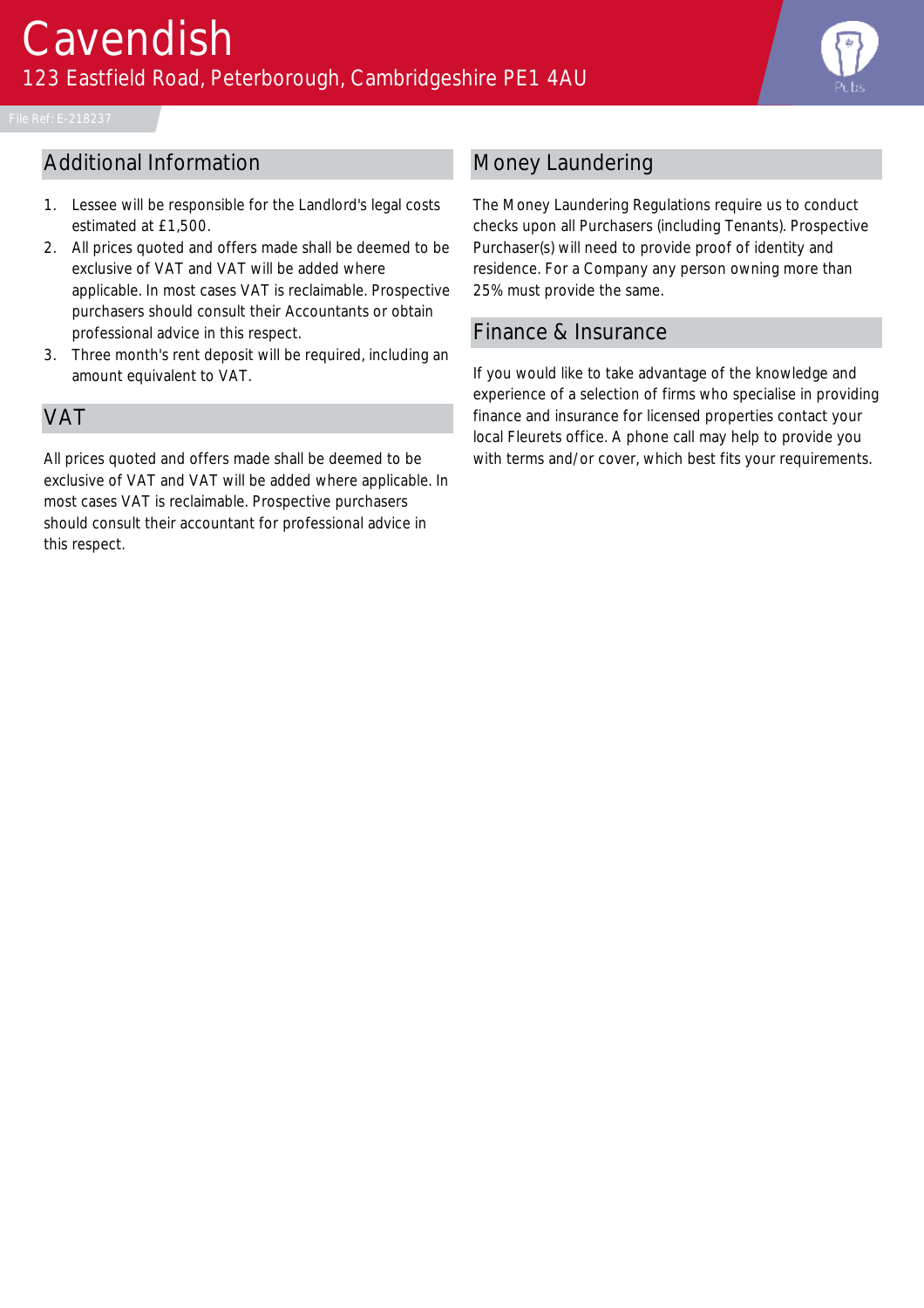

# Additional Information

- 1. Lessee will be responsible for the Landlord's legal costs estimated at £1,500.
- 2. All prices quoted and offers made shall be deemed to be exclusive of VAT and VAT will be added where applicable. In most cases VAT is reclaimable. Prospective purchasers should consult their Accountants or obtain professional advice in this respect.
- 3. Three month's rent deposit will be required, including an amount equivalent to VAT.

### VAT

All prices quoted and offers made shall be deemed to be exclusive of VAT and VAT will be added where applicable. In most cases VAT is reclaimable. Prospective purchasers should consult their accountant for professional advice in this respect.

# Money Laundering

The Money Laundering Regulations require us to conduct checks upon all Purchasers (including Tenants). Prospective Purchaser(s) will need to provide proof of identity and residence. For a Company any person owning more than 25% must provide the same.

#### Finance & Insurance

If you would like to take advantage of the knowledge and experience of a selection of firms who specialise in providing finance and insurance for licensed properties contact your local Fleurets office. A phone call may help to provide you with terms and/or cover, which best fits your requirements.